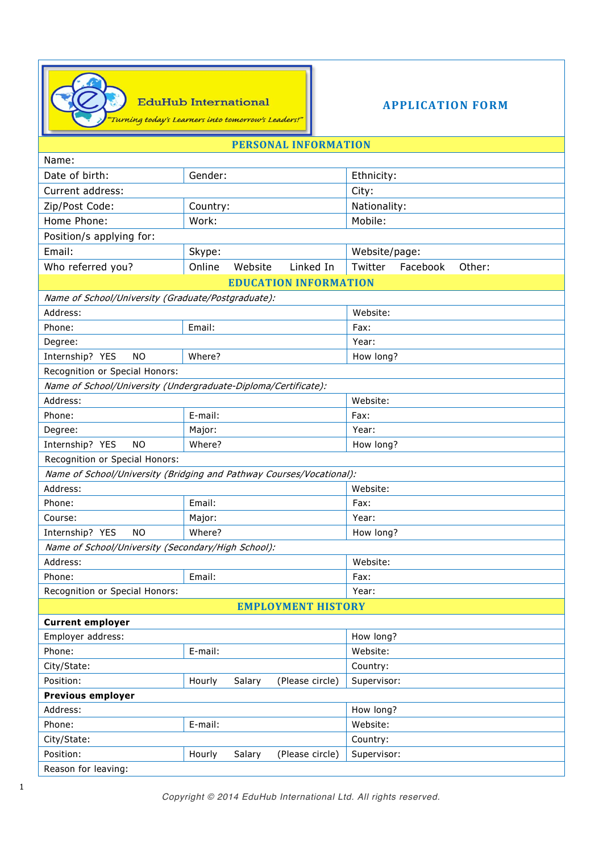

**EduHub International** 

"Turning today's Learners into tomorrow's Leaders!"

**APPLICATION FORM**

## **PERSONAL INFORMATION**

| Name:                                                                |                                     |                               |  |  |  |  |  |
|----------------------------------------------------------------------|-------------------------------------|-------------------------------|--|--|--|--|--|
| Date of birth:                                                       | Gender:                             | Ethnicity:                    |  |  |  |  |  |
| Current address:                                                     |                                     | City:                         |  |  |  |  |  |
| Zip/Post Code:                                                       | Country:                            | Nationality:                  |  |  |  |  |  |
| Home Phone:                                                          | Work:                               | Mobile:                       |  |  |  |  |  |
| Position/s applying for:                                             |                                     |                               |  |  |  |  |  |
| Email:                                                               | Skype:                              | Website/page:                 |  |  |  |  |  |
| Who referred you?                                                    | Online<br>Linked In<br>Website      | Other:<br>Twitter<br>Facebook |  |  |  |  |  |
| <b>EDUCATION INFORMATION</b>                                         |                                     |                               |  |  |  |  |  |
| Name of School/University (Graduate/Postgraduate):                   |                                     |                               |  |  |  |  |  |
| Address:                                                             |                                     | Website:                      |  |  |  |  |  |
| Phone:                                                               | Email:                              | Fax:                          |  |  |  |  |  |
| Degree:                                                              |                                     | Year:                         |  |  |  |  |  |
| Internship? YES<br><b>NO</b>                                         | Where?                              | How long?                     |  |  |  |  |  |
| Recognition or Special Honors:                                       |                                     |                               |  |  |  |  |  |
| Name of School/University (Undergraduate-Diploma/Certificate):       |                                     |                               |  |  |  |  |  |
| Address:                                                             |                                     | Website:                      |  |  |  |  |  |
| Phone:                                                               | E-mail:                             | Fax:                          |  |  |  |  |  |
| Degree:                                                              | Major:                              | Year:                         |  |  |  |  |  |
| Internship? YES<br><b>NO</b>                                         | Where?                              | How long?                     |  |  |  |  |  |
| Recognition or Special Honors:                                       |                                     |                               |  |  |  |  |  |
| Name of School/University (Bridging and Pathway Courses/Vocational): |                                     |                               |  |  |  |  |  |
| Address:                                                             |                                     | Website:                      |  |  |  |  |  |
| Phone:                                                               | Email:                              | Fax:                          |  |  |  |  |  |
| Course:                                                              | Major:                              | Year:                         |  |  |  |  |  |
| <b>NO</b><br>Internship? YES                                         | Where?                              | How long?                     |  |  |  |  |  |
| Name of School/University (Secondary/High School):                   |                                     |                               |  |  |  |  |  |
| Address:                                                             |                                     | Website:                      |  |  |  |  |  |
| Phone:                                                               | Email:                              | Fax:                          |  |  |  |  |  |
| Recognition or Special Honors:                                       |                                     | Year:                         |  |  |  |  |  |
| <b>EMPLOYMENT HISTORY</b>                                            |                                     |                               |  |  |  |  |  |
| <b>Current employer</b>                                              |                                     |                               |  |  |  |  |  |
| Employer address:                                                    |                                     | How long?                     |  |  |  |  |  |
| Phone:                                                               | E-mail:                             | Website:                      |  |  |  |  |  |
| City/State:                                                          |                                     | Country:                      |  |  |  |  |  |
| Position:                                                            | Hourly<br>Salary<br>(Please circle) | Supervisor:                   |  |  |  |  |  |
| <b>Previous employer</b>                                             |                                     |                               |  |  |  |  |  |
| Address:                                                             |                                     | How long?                     |  |  |  |  |  |
| Phone:                                                               | E-mail:                             | Website:                      |  |  |  |  |  |
| City/State:                                                          |                                     | Country:                      |  |  |  |  |  |
| Position:                                                            | Hourly<br>Salary<br>(Please circle) | Supervisor:                   |  |  |  |  |  |
| Reason for leaving:                                                  |                                     |                               |  |  |  |  |  |